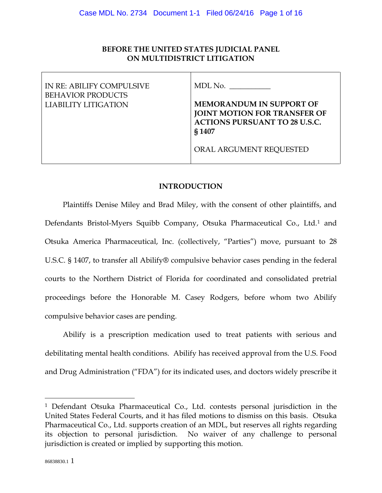# **BEFORE THE UNITED STATES JUDICIAL PANEL ON MULTIDISTRICT LITIGATION**

| IN RE: ABILIFY COMPULSIVE<br><b>BEHAVIOR PRODUCTS</b> | MDL No.                                                                                                           |
|-------------------------------------------------------|-------------------------------------------------------------------------------------------------------------------|
| LIABILITY LITIGATION                                  | <b>MEMORANDUM IN SUPPORT OF</b><br>JOINT MOTION FOR TRANSFER OF<br><b>ACTIONS PURSUANT TO 28 U.S.C.</b><br>§ 1407 |
|                                                       | ORAL ARGUMENT REQUESTED                                                                                           |

# **INTRODUCTION**

Plaintiffs Denise Miley and Brad Miley, with the consent of other plaintiffs, and Defendants Bristol-Myers Squibb Company, Otsuka Pharmaceutical Co., Ltd.[1](#page-0-0) and Otsuka America Pharmaceutical, Inc. (collectively, "Parties") move, pursuant to 28 U.S.C. § 1407, to transfer all Abilify® compulsive behavior cases pending in the federal courts to the Northern District of Florida for coordinated and consolidated pretrial proceedings before the Honorable M. Casey Rodgers, before whom two Abilify compulsive behavior cases are pending.

Abilify is a prescription medication used to treat patients with serious and debilitating mental health conditions. Abilify has received approval from the U.S. Food and Drug Administration ("FDA") for its indicated uses, and doctors widely prescribe it

<span id="page-0-0"></span><sup>1</sup> Defendant Otsuka Pharmaceutical Co., Ltd. contests personal jurisdiction in the United States Federal Courts, and it has filed motions to dismiss on this basis. Otsuka Pharmaceutical Co., Ltd. supports creation of an MDL, but reserves all rights regarding its objection to personal jurisdiction. No waiver of any challenge to personal jurisdiction is created or implied by supporting this motion.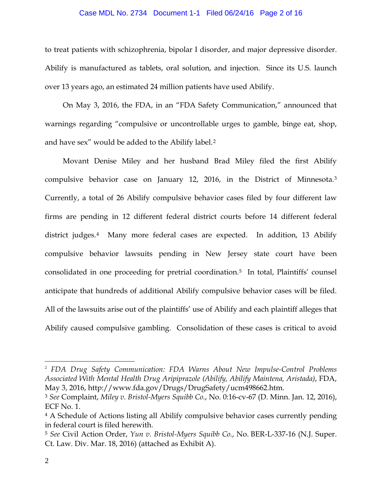### Case MDL No. 2734 Document 1-1 Filed 06/24/16 Page 2 of 16

to treat patients with schizophrenia, bipolar I disorder, and major depressive disorder. Abilify is manufactured as tablets, oral solution, and injection. Since its U.S. launch over 13 years ago, an estimated 24 million patients have used Abilify.

On May 3, 2016, the FDA, in an "FDA Safety Communication," announced that warnings regarding "compulsive or uncontrollable urges to gamble, binge eat, shop, and have sex" would be added to the Abilify label.[2](#page-1-0) 

Movant Denise Miley and her husband Brad Miley filed the first Abilify compulsive behavior case on January 12, 2016, in the District of Minnesota.[3](#page-1-1) Currently, a total of 26 Abilify compulsive behavior cases filed by four different law firms are pending in 12 different federal district courts before 14 different federal district judges.<sup>[4](#page-1-2)</sup> Many more federal cases are expected. In addition, 13 Abilify compulsive behavior lawsuits pending in New Jersey state court have been consolidated in one proceeding for pretrial coordination[.5](#page-1-3) In total, Plaintiffs' counsel anticipate that hundreds of additional Abilify compulsive behavior cases will be filed. All of the lawsuits arise out of the plaintiffs' use of Abilify and each plaintiff alleges that Abilify caused compulsive gambling. Consolidation of these cases is critical to avoid

<span id="page-1-0"></span> <sup>2</sup> *FDA Drug Safety Communication: FDA Warns About New Impulse-Control Problems Associated With Mental Health Drug Aripiprazole (Abilify, Abilify Maintena, Aristada)*, FDA, May 3, 2016, http://www.fda.gov/Drugs/DrugSafety/ucm498662.htm.

<span id="page-1-1"></span><sup>3</sup> *See* Complaint, *Miley v. Bristol-Myers Squibb Co.*, No. 0:16-cv-67 (D. Minn. Jan. 12, 2016), ECF No. 1.

<span id="page-1-2"></span><sup>&</sup>lt;sup>4</sup> A Schedule of Actions listing all Abilify compulsive behavior cases currently pending in federal court is filed herewith. 5 *See* Civil Action Order, *Yun v. Bristol-Myers Squibb Co.*, No. BER-L-337-16 (N.J. Super.

<span id="page-1-3"></span>Ct. Law. Div. Mar. 18, 2016) (attached as Exhibit A).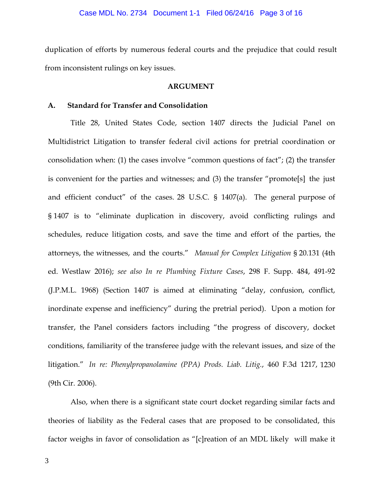duplication of efforts by numerous federal courts and the prejudice that could result from inconsistent rulings on key issues.

## **ARGUMENT**

#### **A. Standard for Transfer and Consolidation**

Title 28, United States Code, section 1407 directs the Judicial Panel on Multidistrict Litigation to transfer federal civil actions for pretrial coordination or consolidation when: (1) the cases involve "common questions of fact"; (2) the transfer is convenient for the parties and witnesses; and (3) the transfer "promote[s] the just and efficient conduct" of the cases. 28 U.S.C. § 1407(a). The general purpose of § 1407 is to "eliminate duplication in discovery, avoid conflicting rulings and schedules, reduce litigation costs, and save the time and effort of the parties, the attorneys, the witnesses, and the courts." *Manual for Complex Litigation* § 20.131 (4th ed. Westlaw 2016); *see also In re Plumbing Fixture Cases*, 298 F. Supp. 484, 491-92 (J.P.M.L. 1968) (Section 1407 is aimed at eliminating "delay, confusion, conflict, inordinate expense and inefficiency" during the pretrial period). Upon a motion for transfer, the Panel considers factors including "the progress of discovery, docket conditions, familiarity of the transferee judge with the relevant issues, and size of the litigation." *In re: Phenylpropanolamine (PPA) Prods. Liab. Litig.*, 460 F.3d 1217, 1230 (9th Cir. 2006).

Also, when there is a significant state court docket regarding similar facts and theories of liability as the Federal cases that are proposed to be consolidated, this factor weighs in favor of consolidation as "[c]reation of an MDL likely will make it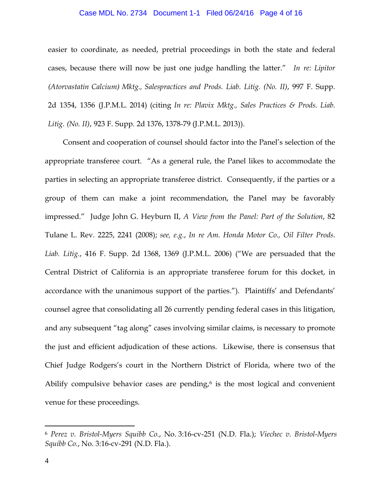## Case MDL No. 2734 Document 1-1 Filed 06/24/16 Page 4 of 16

easier to coordinate, as needed, pretrial proceedings in both the state and federal cases, because there will now be just one judge handling the latter." *In re: Lipitor (Atorvastatin Calcium) Mktg., Salespractices and Prods. Liab. Litig. (No. II)*, 997 F. Supp. 2d 1354, 1356 (J.P.M.L. 2014) (citing *In re: Plavix Mktg., Sales Practices & Prods. Liab. Litig. (No. II)*, 923 F. Supp. 2d 1376, 1378-79 (J.P.M.L. 2013)).

Consent and cooperation of counsel should factor into the Panel's selection of the appropriate transferee court. "As a general rule, the Panel likes to accommodate the parties in selecting an appropriate transferee district. Consequently, if the parties or a group of them can make a joint recommendation, the Panel may be favorably impressed." Judge John G. Heyburn II, *A View from the Panel: Part of the Solution*, 82 Tulane L. Rev. 2225, 2241 (2008); *see, e.g.*, *In re Am. Honda Motor Co., Oil Filter Prods. Liab. Litig.*, 416 F. Supp. 2d 1368, 1369 (J.P.M.L. 2006) ("We are persuaded that the Central District of California is an appropriate transferee forum for this docket, in accordance with the unanimous support of the parties."). Plaintiffs' and Defendants' counsel agree that consolidating all 26 currently pending federal cases in this litigation, and any subsequent "tag along" cases involving similar claims, is necessary to promote the just and efficient adjudication of these actions. Likewise, there is consensus that Chief Judge Rodgers's court in the Northern District of Florida, where two of the Abilify compulsive behavior cases are pending, $6$  is the most logical and convenient venue for these proceedings.

<span id="page-3-0"></span><sup>6</sup> *Perez v. Bristol-Myers Squibb Co.*, No. 3:16-cv-251 (N.D. Fla.); *Viechec v. Bristol-Myers Squibb Co.*, No. 3:16-cv-291 (N.D. Fla.).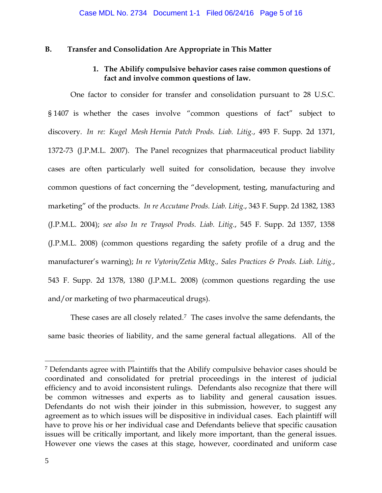## **B. Transfer and Consolidation Are Appropriate in This Matter**

# **1. The Abilify compulsive behavior cases raise common questions of fact and involve common questions of law.**

One factor to consider for transfer and consolidation pursuant to 28 U.S.C. § 1407 is whether the cases involve "common questions of fact" subject to discovery. *In re: Kugel Mesh Hernia Patch Prods. Liab. Litig.*, 493 F. Supp. 2d 1371, 1372-73 (J.P.M.L. 2007). The Panel recognizes that pharmaceutical product liability cases are often particularly well suited for consolidation, because they involve common questions of fact concerning the "development, testing, manufacturing and marketing" of the products. *In re Accutane Prods. Liab. Litig*., 343 F. Supp. 2d 1382, 1383 (J.P.M.L. 2004); *see also In re Traysol Prods. Liab. Litig.*, 545 F. Supp. 2d 1357, 1358 (J.P.M.L. 2008) (common questions regarding the safety profile of a drug and the manufacturer's warning); *In re Vytorin/Zetia Mktg., Sales Practices & Prods. Liab. Litig.*, 543 F. Supp. 2d 1378, 1380 (J.P.M.L. 2008) (common questions regarding the use and/or marketing of two pharmaceutical drugs).

These cases are all closely related.[7](#page-4-0) The cases involve the same defendants, the same basic theories of liability, and the same general factual allegations. All of the

<span id="page-4-0"></span><sup>7</sup> Defendants agree with Plaintiffs that the Abilify compulsive behavior cases should be coordinated and consolidated for pretrial proceedings in the interest of judicial efficiency and to avoid inconsistent rulings. Defendants also recognize that there will be common witnesses and experts as to liability and general causation issues. Defendants do not wish their joinder in this submission, however, to suggest any agreement as to which issues will be dispositive in individual cases. Each plaintiff will have to prove his or her individual case and Defendants believe that specific causation issues will be critically important, and likely more important, than the general issues. However one views the cases at this stage, however, coordinated and uniform case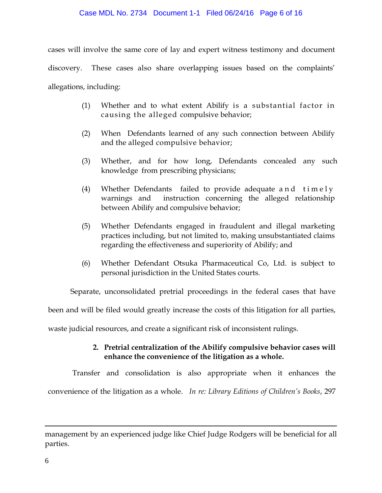## Case MDL No. 2734 Document 1-1 Filed 06/24/16 Page 6 of 16

cases will involve the same core of lay and expert witness testimony and document discovery. These cases also share overlapping issues based on the complaints' allegations, including:

- (1) Whether and to what extent Abilify is a substantial factor in causing the alleged compulsive behavior;
- (2) When Defendants learned of any such connection between Abilify and the alleged compulsive behavior;
- (3) Whether, and for how long, Defendants concealed any such knowledge from prescribing physicians;
- (4) Whether Defendants failed to provide adequate and timely warnings and instruction concerning the alleged relationship between Abilify and compulsive behavior;
- (5) Whether Defendants engaged in fraudulent and illegal marketing practices including, but not limited to, making unsubstantiated claims regarding the effectiveness and superiority of Abilify; and
- (6) Whether Defendant Otsuka Pharmaceutical Co, Ltd. is subject to personal jurisdiction in the United States courts.

Separate, unconsolidated pretrial proceedings in the federal cases that have

been and will be filed would greatly increase the costs of this litigation for all parties,

waste judicial resources, and create a significant risk of inconsistent rulings.

# **2. Pretrial centralization of the Abilify compulsive behavior cases will enhance the convenience of the litigation as a whole.**

Transfer and consolidation is also appropriate when it enhances the convenience of the litigation as a whole. *In re: Library Editions of Children's Books*, 297

management by an experienced judge like Chief Judge Rodgers will be beneficial for all parties.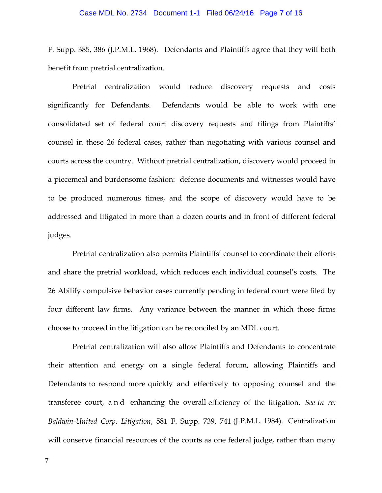## Case MDL No. 2734 Document 1-1 Filed 06/24/16 Page 7 of 16

F. Supp. 385, 386 (J.P.M.L. 1968). Defendants and Plaintiffs agree that they will both benefit from pretrial centralization.

Pretrial centralization would reduce discovery requests and costs significantly for Defendants. Defendants would be able to work with one consolidated set of federal court discovery requests and filings from Plaintiffs' counsel in these 26 federal cases, rather than negotiating with various counsel and courts across the country. Without pretrial centralization, discovery would proceed in a piecemeal and burdensome fashion: defense documents and witnesses would have to be produced numerous times, and the scope of discovery would have to be addressed and litigated in more than a dozen courts and in front of different federal judges.

Pretrial centralization also permits Plaintiffs' counsel to coordinate their efforts and share the pretrial workload, which reduces each individual counsel's costs. The 26 Abilify compulsive behavior cases currently pending in federal court were filed by four different law firms. Any variance between the manner in which those firms choose to proceed in the litigation can be reconciled by an MDL court.

Pretrial centralization will also allow Plaintiffs and Defendants to concentrate their attention and energy on a single federal forum, allowing Plaintiffs and Defendants to respond more quickly and effectively to opposing counsel and the transferee court, and enhancing the overall efficiency of the litigation. *See In re: Baldwin-United Corp. Litigation*, 581 F. Supp. 739, 741 (J.P.M.L. 1984). Centralization will conserve financial resources of the courts as one federal judge, rather than many

7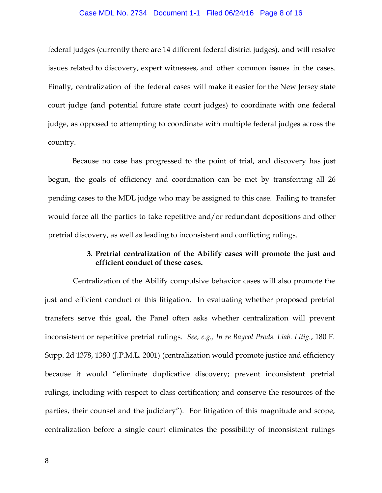#### Case MDL No. 2734 Document 1-1 Filed 06/24/16 Page 8 of 16

federal judges (currently there are 14 different federal district judges), and will resolve issues related to discovery, expert witnesses, and other common issues in the cases. Finally, centralization of the federal cases will make it easier for the New Jersey state court judge (and potential future state court judges) to coordinate with one federal judge, as opposed to attempting to coordinate with multiple federal judges across the country.

Because no case has progressed to the point of trial, and discovery has just begun, the goals of efficiency and coordination can be met by transferring all 26 pending cases to the MDL judge who may be assigned to this case. Failing to transfer would force all the parties to take repetitive and/or redundant depositions and other pretrial discovery, as well as leading to inconsistent and conflicting rulings.

# **3. Pretrial centralization of the Abilify cases will promote the just and efficient conduct of these cases.**

Centralization of the Abilify compulsive behavior cases will also promote the just and efficient conduct of this litigation. In evaluating whether proposed pretrial transfers serve this goal, the Panel often asks whether centralization will prevent inconsistent or repetitive pretrial rulings. *See, e.g., In re Baycol Prods. Liab. Litig.*, 180 F. Supp. 2d 1378, 1380 (J.P.M.L. 2001) (centralization would promote justice and efficiency because it would "eliminate duplicative discovery; prevent inconsistent pretrial rulings, including with respect to class certification; and conserve the resources of the parties, their counsel and the judiciary"). For litigation of this magnitude and scope, centralization before a single court eliminates the possibility of inconsistent rulings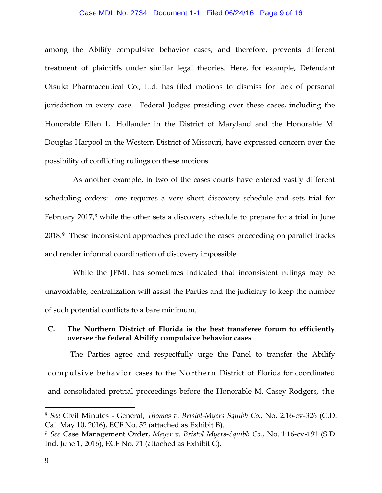#### Case MDL No. 2734 Document 1-1 Filed 06/24/16 Page 9 of 16

among the Abilify compulsive behavior cases, and therefore, prevents different treatment of plaintiffs under similar legal theories. Here, for example, Defendant Otsuka Pharmaceutical Co., Ltd. has filed motions to dismiss for lack of personal jurisdiction in every case. Federal Judges presiding over these cases, including the Honorable Ellen L. Hollander in the District of Maryland and the Honorable M. Douglas Harpool in the Western District of Missouri, have expressed concern over the possibility of conflicting rulings on these motions.

As another example, in two of the cases courts have entered vastly different scheduling orders: one requires a very short discovery schedule and sets trial for February 2017,<sup>[8](#page-8-0)</sup> while the other sets a discovery schedule to prepare for a trial in June 2018.[9](#page-8-1) These inconsistent approaches preclude the cases proceeding on parallel tracks and render informal coordination of discovery impossible.

While the JPML has sometimes indicated that inconsistent rulings may be unavoidable, centralization will assist the Parties and the judiciary to keep the number of such potential conflicts to a bare minimum.

## **C. The Northern District of Florida is the best transferee forum to efficiently oversee the federal Abilify compulsive behavior cases**

The Parties agree and respectfully urge the Panel to transfer the Abilify compulsive behavior cases to the Northern District of Florida for coordinated and consolidated pretrial proceedings before the Honorable M. Casey Rodgers, the

<span id="page-8-0"></span><sup>8</sup> *See* Civil Minutes - General, *Thomas v. Bristol-Myers Squibb Co.*, No. 2:16-cv-326 (C.D. Cal. May 10, 2016), ECF No. 52 (attached as Exhibit B).

<span id="page-8-1"></span><sup>9</sup> *See* Case Management Order, *Meyer v. Bristol Myers-Squibb Co.*, No. 1:16-cv-191 (S.D. Ind. June 1, 2016), ECF No. 71 (attached as Exhibit C).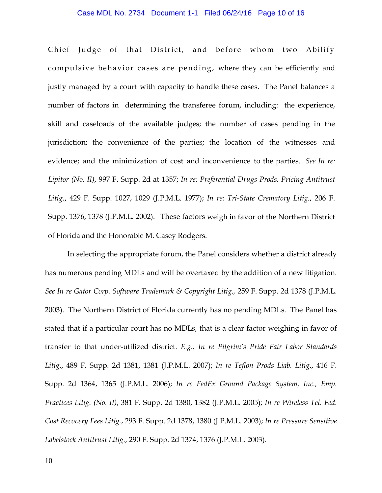## Case MDL No. 2734 Document 1-1 Filed 06/24/16 Page 10 of 16

Chief Judge of that District, and before whom two Abilify compulsive behavior cases are pending, where they can be efficiently and justly managed by a court with capacity to handle these cases. The Panel balances a number of factors in determining the transferee forum, including: the experience, skill and caseloads of the available judges; the number of cases pending in the jurisdiction; the convenience of the parties; the location of the witnesses and evidence; and the minimization of cost and inconvenience to the parties. *See In re: Lipitor (No. II)*, 997 F. Supp. 2d at 1357; *In re: Preferential Drugs Prods. Pricing Antitrust Litig.*, 429 F. Supp. 1027, 1029 (J.P.M.L. 1977); *In re: Tri-State Crematory Litig.*, 206 F. Supp. 1376, 1378 (J.P.M.L. 2002). These factors weigh in favor of the Northern District of Florida and the Honorable M. Casey Rodgers.

In selecting the appropriate forum, the Panel considers whether a district already has numerous pending MDLs and will be overtaxed by the addition of a new litigation. *See In re Gator Corp. Software Trademark & Copyright Litig.,* 259 F. Supp. 2d 1378 (J.P.M.L. 2003). The Northern District of Florida currently has no pending MDLs. The Panel has stated that if a particular court has no MDLs, that is a clear factor weighing in favor of transfer to that under-utilized district. *E.g., In re Pilgrim's Pride Fair Labor Standards Litig*., 489 F. Supp. 2d 1381, 1381 (J.P.M.L. 2007); *In re Teflon Prods Liab. Litig*., 416 F. Supp. 2d 1364, 1365 (J.P.M.L. 2006); *In re FedEx Ground Package System, Inc., Emp. Practices Litig. (No. II)*, 381 F. Supp. 2d 1380, 1382 (J.P.M.L. 2005); *In re Wireless Tel. Fed. Cost Recovery Fees Litig.*, 293 F. Supp. 2d 1378, 1380 (J.P.M.L. 2003); *In re Pressure Sensitive Labelstock Antitrust Litig.*, 290 F. Supp. 2d 1374, 1376 (J.P.M.L. 2003).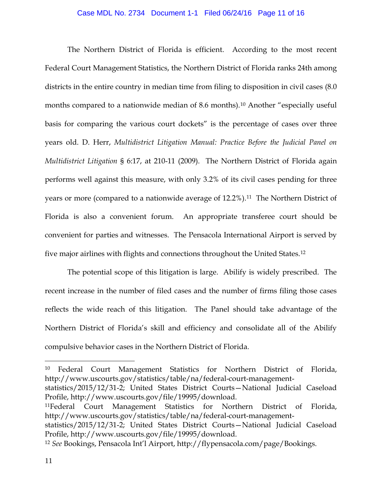### Case MDL No. 2734 Document 1-1 Filed 06/24/16 Page 11 of 16

The Northern District of Florida is efficient. According to the most recent Federal Court Management Statistics, the Northern District of Florida ranks 24th among districts in the entire country in median time from filing to disposition in civil cases  $(8.0)$ months compared to a nationwide median of 8.6 months).<sup>[10](#page-10-0)</sup> Another "especially useful basis for comparing the various court dockets" is the percentage of cases over three years old. D. Herr, *Multidistrict Litigation Manual: Practice Before the Judicial Panel on Multidistrict Litigation* § 6:17, at 210-11 (2009). The Northern District of Florida again performs well against this measure, with only 3.2% of its civil cases pending for three years or more (compared to a nationwide average of 12.2%).<sup>11</sup> The Northern District of Florida is also a convenient forum. An appropriate transferee court should be convenient for parties and witnesses. The Pensacola International Airport is served by five major airlines with flights and connections throughout the United States.[12](#page-10-2) 

The potential scope of this litigation is large. Abilify is widely prescribed. The recent increase in the number of filed cases and the number of firms filing those cases reflects the wide reach of this litigation. The Panel should take advantage of the Northern District of Florida's skill and efficiency and consolidate all of the Abilify compulsive behavior cases in the Northern District of Florida.

<span id="page-10-0"></span><sup>10</sup> Federal Court Management Statistics for Northern District of Florida, http://www.uscourts.gov/statistics/table/na/federal-court-management-

statistics/2015/12/31-2; United States District Courts—National Judicial Caseload Profile, http://www.uscourts.gov/file/19995/download.

<span id="page-10-1"></span><sup>11</sup>Federal Court Management Statistics for Northern District of Florida, http://www.uscourts.gov/statistics/table/na/federal-court-management-

statistics/2015/12/31-2; United States District Courts—National Judicial Caseload Profile, http://www.uscourts.gov/file/19995/download.

<span id="page-10-2"></span><sup>12</sup> *See* Bookings, Pensacola Int'l Airport, http://flypensacola.com/page/Bookings.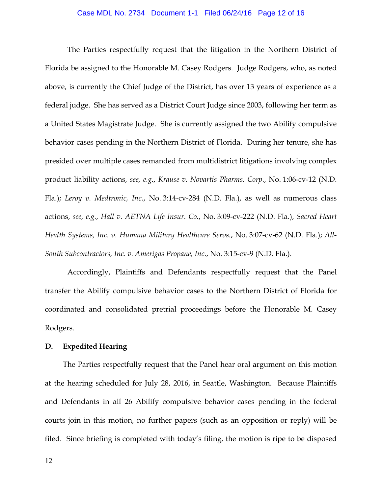## Case MDL No. 2734 Document 1-1 Filed 06/24/16 Page 12 of 16

The Parties respectfully request that the litigation in the Northern District of Florida be assigned to the Honorable M. Casey Rodgers. Judge Rodgers, who, as noted above, is currently the Chief Judge of the District, has over 13 years of experience as a federal judge. She has served as a District Court Judge since 2003, following her term as a United States Magistrate Judge. She is currently assigned the two Abilify compulsive behavior cases pending in the Northern District of Florida. During her tenure, she has presided over multiple cases remanded from multidistrict litigations involving complex product liability actions, *see, e.g.*, *Krause v. Novartis Pharms. Corp*., No. 1:06-cv-12 (N.D. Fla.); *Leroy v. Medtronic, Inc.*, No. 3:14-cv-284 (N.D. Fla.), as well as numerous class actions, *see, e.g.*, *Hall v. AETNA Life Insur. Co.*, No. 3:09-cv-222 (N.D. Fla.), *Sacred Heart Health Systems, Inc. v. Humana Military Healthcare Servs.*, No. 3:07-cv-62 (N.D. Fla.); *All-South Subcontractors, Inc. v. Amerigas Propane, Inc*., No. 3:15-cv-9 (N.D. Fla.).

Accordingly, Plaintiffs and Defendants respectfully request that the Panel transfer the Abilify compulsive behavior cases to the Northern District of Florida for coordinated and consolidated pretrial proceedings before the Honorable M. Casey Rodgers.

## **D. Expedited Hearing**

The Parties respectfully request that the Panel hear oral argument on this motion at the hearing scheduled for July 28, 2016, in Seattle, Washington. Because Plaintiffs and Defendants in all 26 Abilify compulsive behavior cases pending in the federal courts join in this motion, no further papers (such as an opposition or reply) will be filed. Since briefing is completed with today's filing, the motion is ripe to be disposed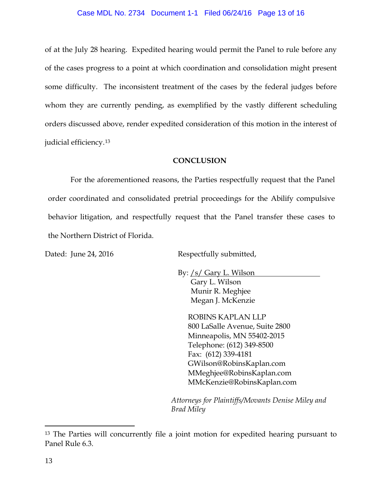## Case MDL No. 2734 Document 1-1 Filed 06/24/16 Page 13 of 16

of at the July 28 hearing. Expedited hearing would permit the Panel to rule before any of the cases progress to a point at which coordination and consolidation might present some difficulty. The inconsistent treatment of the cases by the federal judges before whom they are currently pending, as exemplified by the vastly different scheduling orders discussed above, render expedited consideration of this motion in the interest of judicial efficiency.[13](#page-12-0)

## **CONCLUSION**

For the aforementioned reasons, the Parties respectfully request that the Panel order coordinated and consolidated pretrial proceedings for the Abilify compulsive behavior litigation, and respectfully request that the Panel transfer these cases to the Northern District of Florida.

Dated: June 24, 2016 Respectfully submitted,

By: /s/ Gary L. Wilson Gary L. Wilson Munir R. Meghjee Megan J. McKenzie

> ROBINS KAPLAN LLP 800 LaSalle Avenue, Suite 2800 Minneapolis, MN 55402-2015 Telephone: (612) 349-8500 Fax: (612) 339-4181 GWilson@RobinsKaplan.com MMeghjee@RobinsKaplan.com MMcKenzie@RobinsKaplan.com

*Attorneys for Plaintiffs/Movants Denise Miley and Brad Miley*

<span id="page-12-0"></span><sup>&</sup>lt;sup>13</sup> The Parties will concurrently file a joint motion for expedited hearing pursuant to Panel Rule 6.3.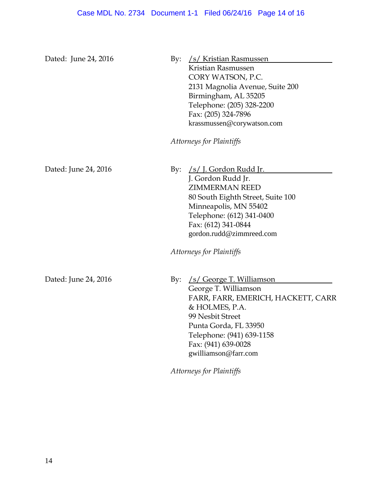| Dated: June 24, 2016 | /s/ Kristian Rasmussen<br>By:<br>Kristian Rasmussen<br>CORY WATSON, P.C.<br>2131 Magnolia Avenue, Suite 200<br>Birmingham, AL 35205<br>Telephone: (205) 328-2200<br>Fax: (205) 324-7896<br>krassmussen@corywatson.com<br>Attorneys for Plaintiffs                    |
|----------------------|----------------------------------------------------------------------------------------------------------------------------------------------------------------------------------------------------------------------------------------------------------------------|
|                      |                                                                                                                                                                                                                                                                      |
| Dated: June 24, 2016 | <u>/s/ J. Gordon Rudd Jr.</u><br>By:<br>J. Gordon Rudd Jr.<br><b>ZIMMERMAN REED</b><br>80 South Eighth Street, Suite 100<br>Minneapolis, MN 55402<br>Telephone: (612) 341-0400<br>Fax: (612) 341-0844<br>gordon.rudd@zimmreed.com<br>Attorneys for Plaintiffs        |
| Dated: June 24, 2016 | /s/ George T. Williamson<br>By:<br>George T. Williamson<br>FARR, FARR, EMERICH, HACKETT, CARR<br>& HOLMES, P.A.<br>99 Nesbit Street<br>Punta Gorda, FL 33950<br>Telephone: (941) 639-1158<br>Fax: (941) 639-0028<br>gwilliamson@farr.com<br>Attorneys for Plaintiffs |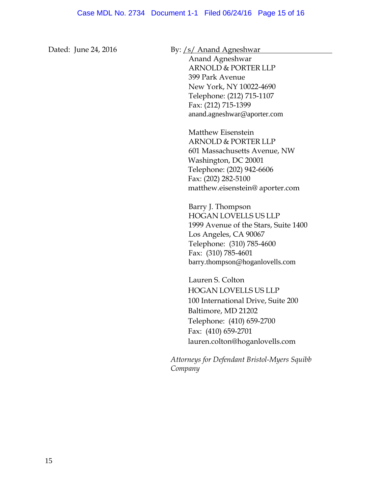Dated: June 24, 2016 By: /s/ Anand Agneshwar

Anand Agneshwar ARNOLD & PORTER LLP 399 Park Avenue New York, NY 10022-4690 Telephone: (212) 715-1107 Fax: (212) 715-1399 anand.agneshwar@aporter.com

Matthew Eisenstein ARNOLD & PORTER LLP 601 Massachusetts Avenue, NW Washington, DC 20001 Telephone: (202) 942-6606 Fax: (202) 282-5100 matthew.eisenstein@ aporter.com

Barry J. Thompson HOGAN LOVELLS US LLP 1999 Avenue of the Stars, Suite 1400 Los Angeles, CA 90067 Telephone: (310) 785-4600 Fax: (310) 785-4601 barry.thompson@hoganlovells.com

Lauren S. Colton HOGAN LOVELLS US LLP 100 International Drive, Suite 200 Baltimore, MD 21202 Telephone: (410) 659-2700 Fax: (410) 659-2701 lauren.colton@hoganlovells.com

*Attorneys for Defendant Bristol-Myers Squibb Company*